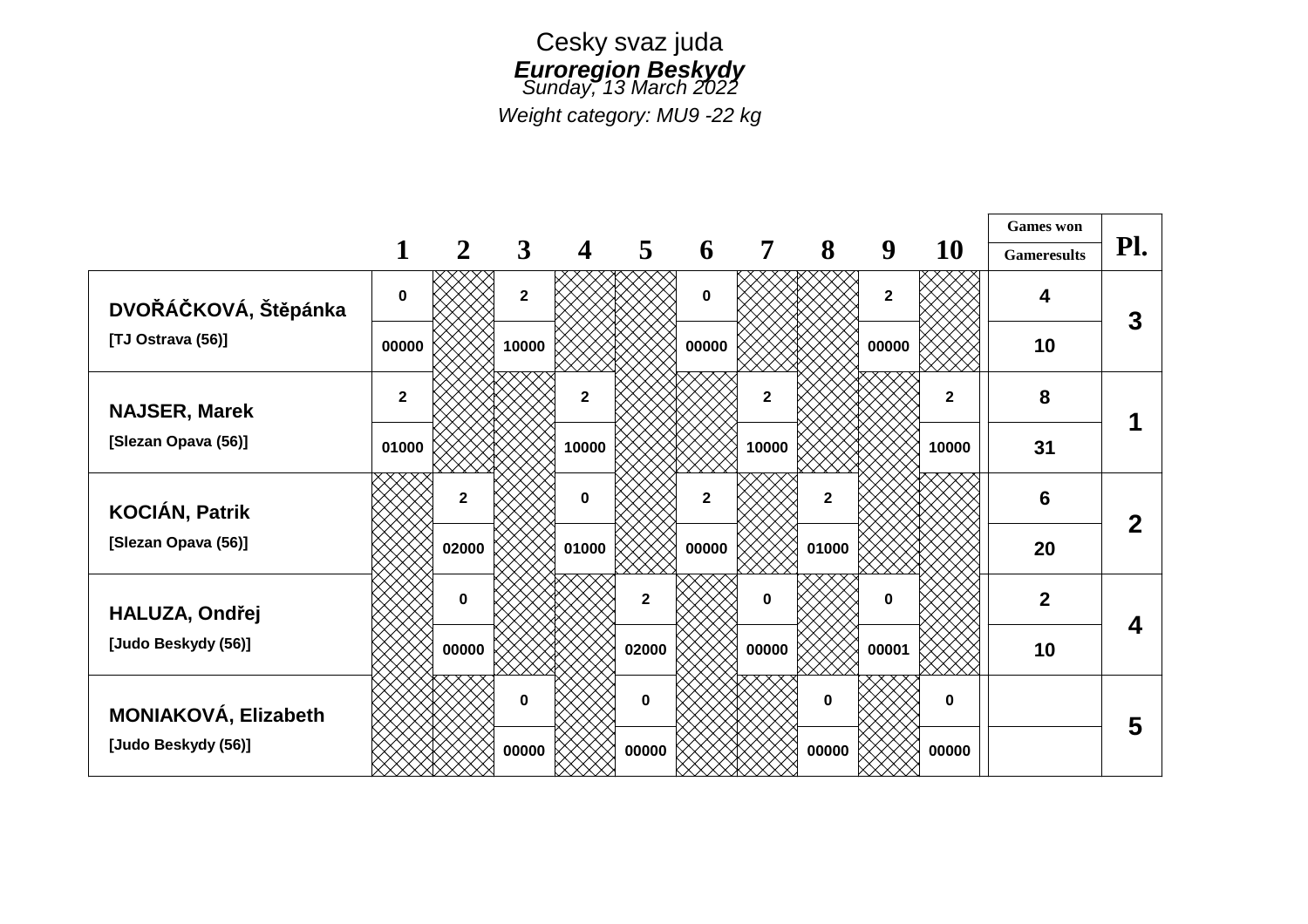

*Weight category: MU9 -22 kg*

|                                              |                |              |                |              |              |                |              |              |                |             | <b>Games</b> won   |                |
|----------------------------------------------|----------------|--------------|----------------|--------------|--------------|----------------|--------------|--------------|----------------|-------------|--------------------|----------------|
|                                              |                | 2            | $\mathbf{3}$   | 4            | 5            | 6              | 7            | 8            | 9              | <b>10</b>   | <b>Gameresults</b> | Pl.            |
| DVOŘÁČKOVÁ, Štěpánka                         | $\bf{0}$       |              | $\overline{2}$ |              |              | $\mathbf 0$    |              |              | $\overline{2}$ |             | 4                  | 3              |
| [TJ Ostrava (56)]                            | 00000          |              | 10000          |              |              | 00000          |              |              | 00000          |             | 10                 |                |
| <b>NAJSER, Marek</b>                         | $\overline{2}$ |              |                | $\mathbf{2}$ |              |                | $\mathbf{2}$ |              |                | $\mathbf 2$ | 8                  |                |
| [Slezan Opava (56)]                          | 01000          |              |                | 10000        |              |                | 10000        |              |                | 10000       | 31                 |                |
| <b>KOCIÁN, Patrik</b><br>[Slezan Opava (56)] |                | $\mathbf{2}$ |                | $\mathbf 0$  |              | $\overline{2}$ |              | $\mathbf{2}$ |                |             | 6                  | $\overline{2}$ |
|                                              |                | 02000        |                | 01000        |              | 00000          |              | 01000        |                |             | 20                 |                |
| HALUZA, Ondřej<br>[Judo Beskydy (56)]        |                | $\bf{0}$     |                |              | $\mathbf{2}$ |                | $\mathbf{0}$ |              | $\mathbf{0}$   |             | $\overline{2}$     | 4              |
|                                              |                | 00000        |                |              | 02000        |                | 00000        |              | 00001          |             | 10                 |                |
| MONIAKOVÁ, Elizabeth                         |                |              | 0              |              | $\mathbf 0$  |                |              | $\bf{0}$     |                | $\mathbf 0$ |                    | 5              |
| [Judo Beskydy (56)]                          |                |              | 00000          |              | 00000        |                |              | 00000        |                | 00000       |                    |                |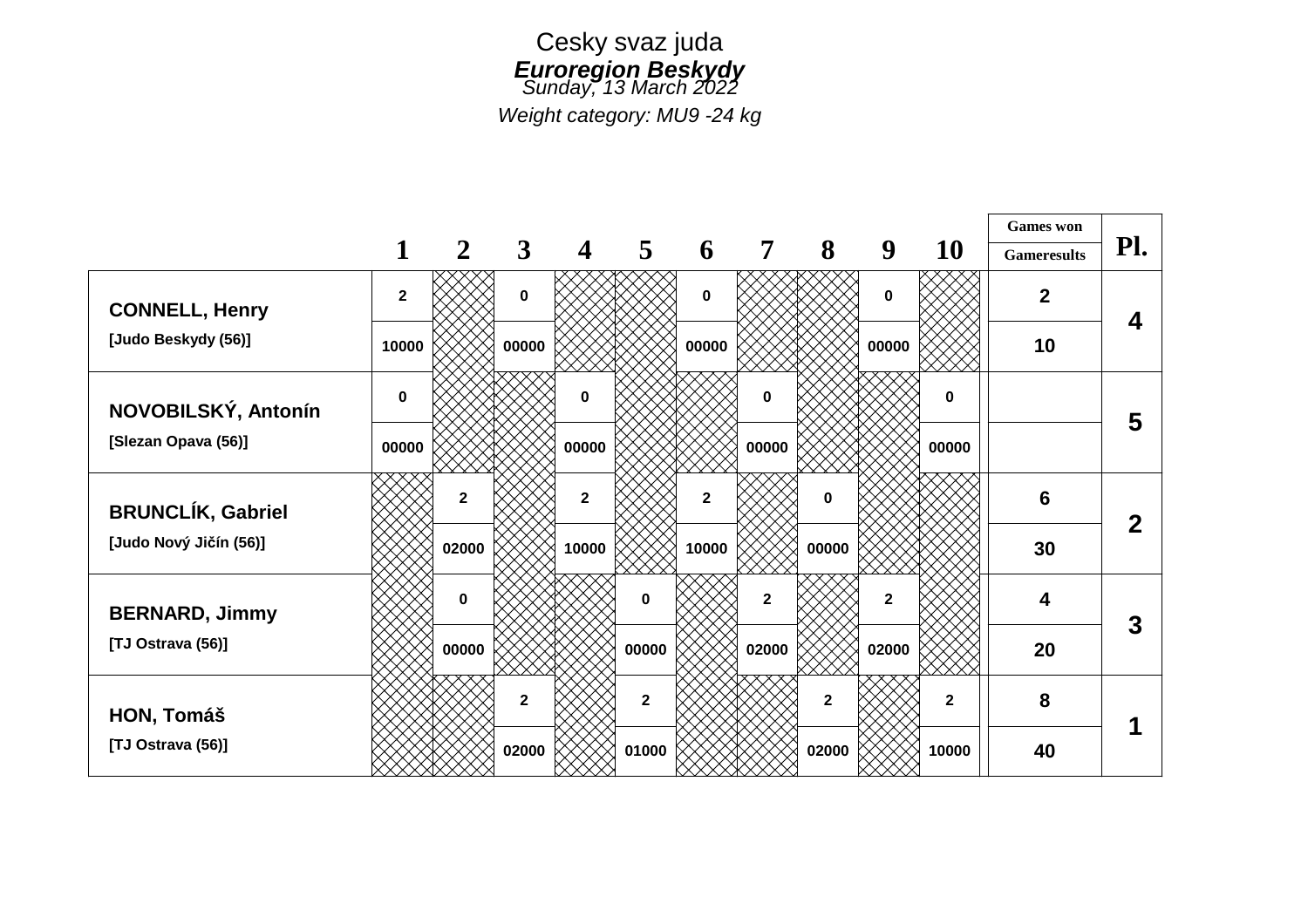

*Weight category: MU9 -24 kg*

|                                                    |              |              |              |              |                |                |              |              |                |              | <b>Games</b> won   | Pl.          |
|----------------------------------------------------|--------------|--------------|--------------|--------------|----------------|----------------|--------------|--------------|----------------|--------------|--------------------|--------------|
|                                                    |              | $\mathbf{2}$ | $\mathbf{3}$ | 4            | 5              | 6              | 7            | 8            | 9              | <b>10</b>    | <b>Gameresults</b> |              |
| <b>CONNELL, Henry</b>                              | $\mathbf{2}$ |              | $\mathbf 0$  |              |                | $\mathbf 0$    |              |              | 0              |              | $\overline{2}$     | 4            |
| [Judo Beskydy (56)]                                | 10000        |              | 00000        | 00000        |                |                | 00000        |              | 10             |              |                    |              |
| NOVOBILSKÝ, Antonín                                | $\mathbf 0$  |              |              | $\mathbf 0$  |                |                | 0            |              |                | $\mathbf 0$  |                    | 5            |
| [Slezan Opava (56)]                                | 00000        |              |              | 00000        |                |                | 00000        |              |                | 00000        |                    |              |
| <b>BRUNCLÍK, Gabriel</b><br>[Judo Nový Jičín (56)] |              | $\mathbf{2}$ |              | $\mathbf{2}$ |                | $\overline{2}$ |              | 0            |                |              | 6                  | $\mathbf{2}$ |
|                                                    |              | 02000        |              | 10000        |                | 10000          |              | 00000        |                |              | 30                 |              |
| <b>BERNARD, Jimmy</b><br>[TJ Ostrava (56)]         |              | $\bf{0}$     |              |              | $\mathbf 0$    |                | $\mathbf{2}$ |              | $\overline{2}$ |              | 4                  | 3            |
|                                                    |              | 00000        |              |              | 00000          |                | 02000        |              | 02000          |              | 20                 |              |
| HON, Tomáš<br>[TJ Ostrava (56)]                    |              |              | $\mathbf{2}$ |              | $\overline{2}$ |                |              | $\mathbf{2}$ |                | $\mathbf{2}$ | 8                  |              |
|                                                    |              |              | 02000        |              | 01000          |                |              | 02000        |                | 10000        | 40                 |              |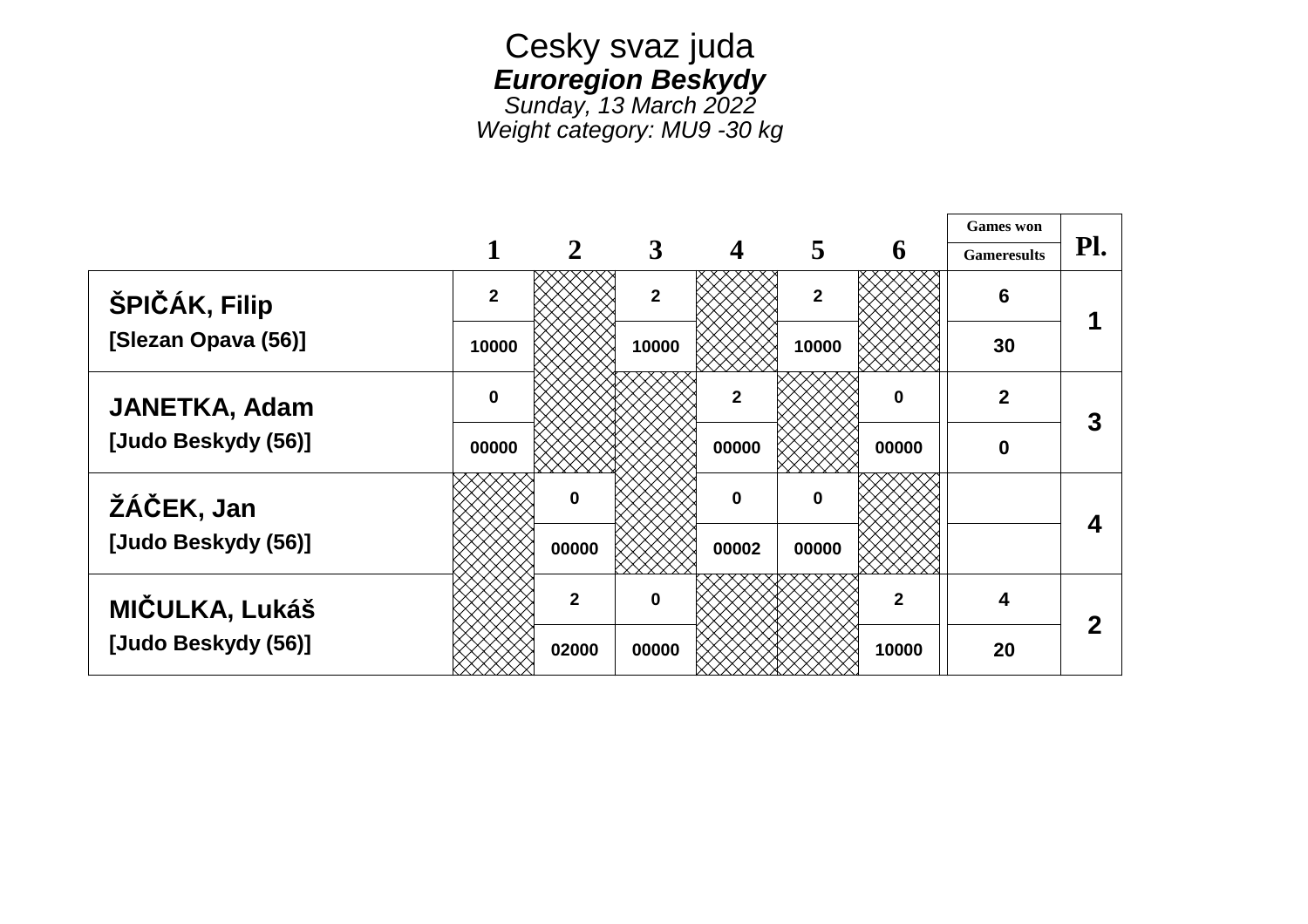## Cesky svaz juda *Euroregion Beskydy*

*Sunday, 13 March 2022 Weight category: MU9 -30 kg*

|                      |                |                |                |                         |                         |                      | <b>Games</b> won   |                  |
|----------------------|----------------|----------------|----------------|-------------------------|-------------------------|----------------------|--------------------|------------------|
|                      | 1              | $\overline{2}$ | 3              | $\overline{\mathbf{4}}$ | 5                       | 6                    | <b>Gameresults</b> | Pl.              |
| ŠPIČÁK, Filip        | $\overline{2}$ |                | $\overline{2}$ |                         | $\overline{\mathbf{2}}$ |                      | $6\phantom{1}6$    | и                |
| [Slezan Opava (56)]  | 10000          |                | 10000          |                         | 10000                   |                      | 30                 |                  |
| <b>JANETKA, Adam</b> | $\mathbf 0$    |                |                | $\overline{2}$          |                         | $\mathbf 0$<br>00000 | $\overline{2}$     | 3                |
| [Judo Beskydy (56)]  | 00000          |                |                | 00000                   |                         |                      | 0                  |                  |
| ŽÁČEK, Jan           |                | O              |                | $\mathbf{0}$            | $\bf{0}$                |                      |                    | 4                |
| [Judo Beskydy (56)]  |                | 00000          |                | 00002                   | 00000                   |                      |                    |                  |
| MIČULKA, Lukáš       |                | $\overline{2}$ | $\bf{0}$       |                         |                         | $\mathbf{2}$         | 4                  | $\boldsymbol{2}$ |
| [Judo Beskydy (56)]  |                | 02000          | 00000          |                         |                         | 10000                | 20                 |                  |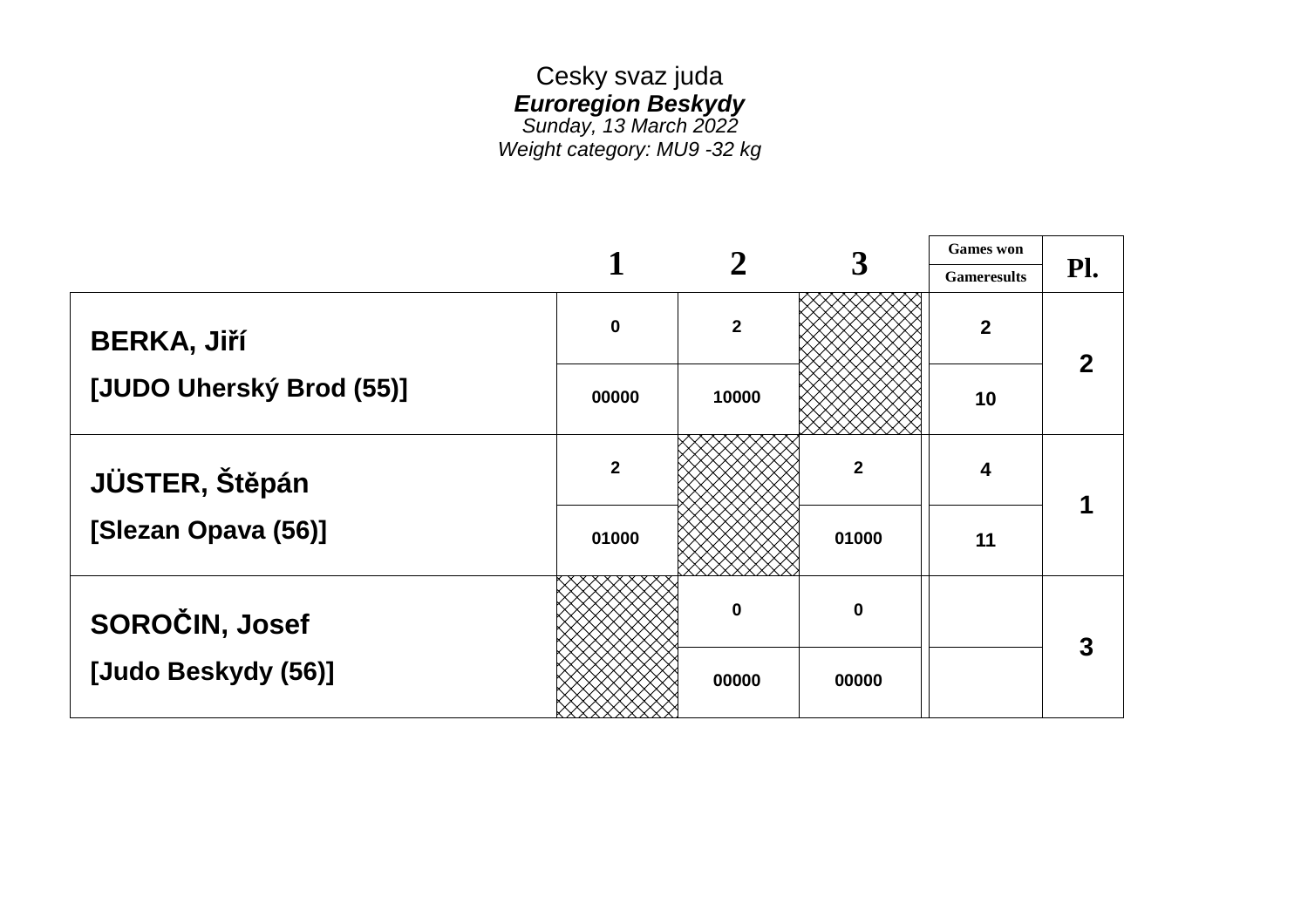## Cesky svaz juda *Euroregion Beskydy Sunday, 13 March 2022 Weight category: MU9 -32 kg*

 **Games won 2 3 Gameresults Pl. BERKA, Jiří [JUDO Uherský Brod (55)] JÜSTER, Štěpán [Slezan Opava (56)] SOROČIN, Josef [Judo Beskydy (56)]**